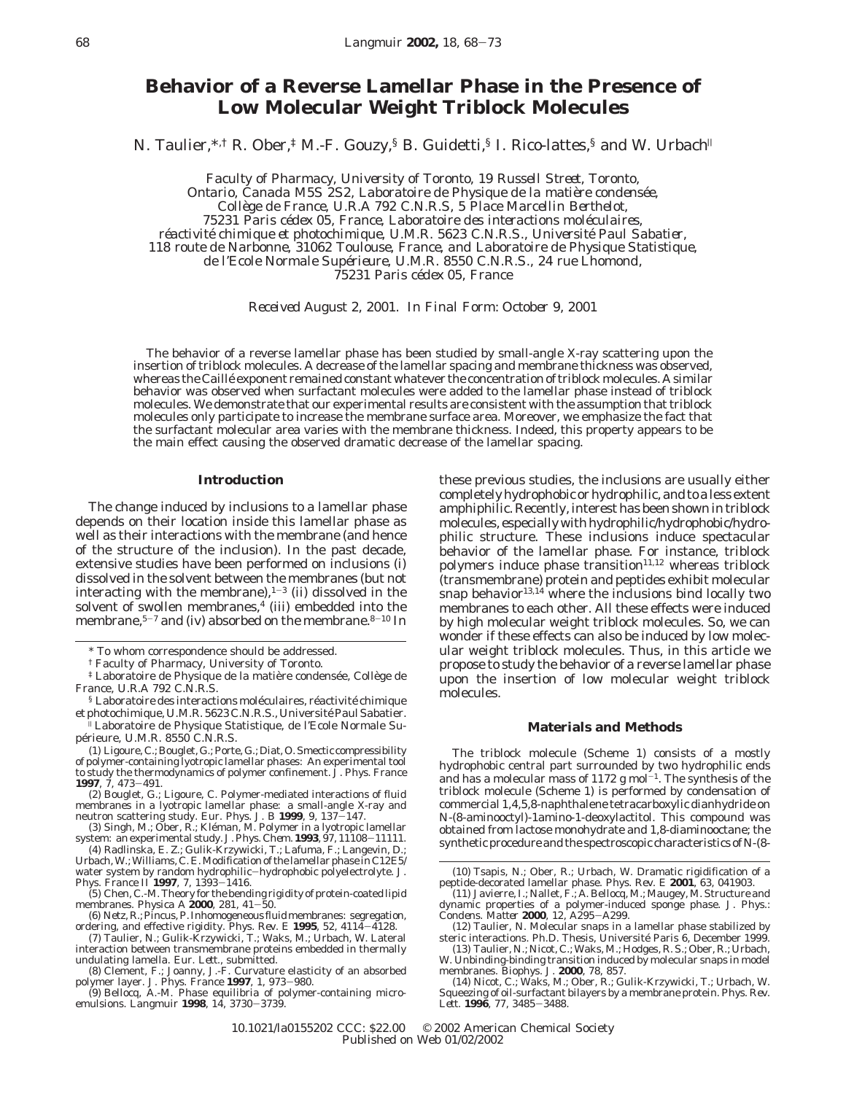# **Behavior of a Reverse Lamellar Phase in the Presence of Low Molecular Weight Triblock Molecules**

N. Taulier,<sup>\*,†</sup> R. Ober,<sup>‡</sup> M.-F. Gouzy,<sup>§</sup> B. Guidetti,<sup>§</sup> I. Rico-lattes,<sup>§</sup> and W. Urbach<sup>||</sup>

*Faculty of Pharmacy, University of Toronto, 19 Russell Street, Toronto, Ontario, Canada M5S 2S2, Laboratoire de Physique de la matie*`*re condense*´*e, Colle*`*ge de France, U.R.A 792 C.N.R.S, 5 Place Marcellin Berthelot, 75231 Paris ce*´*dex 05, France, Laboratoire des interactions mole*´*culaires, re*´*activite*´ *chimique et photochimique, U.M.R. 5623 C.N.R.S., Universite*´ *Paul Sabatier, 118 route de Narbonne, 31062 Toulouse, France, and Laboratoire de Physique Statistique, de l'Ecole Normale Supe*´*rieure, U.M.R. 8550 C.N.R.S., 24 rue Lhomond, 75231 Paris ce*´*dex 05, France*

*Received August 2, 2001. In Final Form: October 9, 2001*

The behavior of a reverse lamellar phase has been studied by small-angle X-ray scattering upon the insertion of triblock molecules. A decrease of the lamellar spacing and membrane thickness was observed, whereas the Caillé exponent remained constant whatever the concentration of triblock molecules. A similar behavior was observed when surfactant molecules were added to the lamellar phase instead of triblock molecules. We demonstrate that our experimental results are consistent with the assumption that triblock molecules only participate to increase the membrane surface area. Moreover, we emphasize the fact that the surfactant molecular area varies with the membrane thickness. Indeed, this property appears to be the main effect causing the observed dramatic decrease of the lamellar spacing.

#### **Introduction**

The change induced by inclusions to a lamellar phase depends on their location inside this lamellar phase as well as their interactions with the membrane (and hence of the structure of the inclusion). In the past decade, extensive studies have been performed on inclusions (i) dissolved in the solvent between the membranes (but not interacting with the membrane), $1-3$  (ii) dissolved in the solvent of swollen membranes, $4$  (iii) embedded into the membrane, $5-7$  and (iv) absorbed on the membrane. $8-10$  In

these previous studies, the inclusions are usually either completely hydrophobic or hydrophilic, and to a less extent amphiphilic. Recently, interest has been shown in triblock molecules, especially with hydrophilic/hydrophobic/hydrophilic structure. These inclusions induce spectacular behavior of the lamellar phase. For instance, triblock polymers induce phase transition $11,12$  whereas triblock (transmembrane) protein and peptides exhibit molecular snap behavior $13,14$  where the inclusions bind locally two membranes to each other. All these effects were induced by high molecular weight triblock molecules. So, we can wonder if these effects can also be induced by low molecular weight triblock molecules. Thus, in this article we propose to study the behavior of a reverse lamellar phase upon the insertion of low molecular weight triblock molecules.

#### **Materials and Methods**

The triblock molecule (Scheme 1) consists of a mostly hydrophobic central part surrounded by two hydrophilic ends and has a molecular mass of 1172 g mol $^{-1}$ . The synthesis of the triblock molecule (Scheme 1) is performed by condensation of commercial 1,4,5,8-naphthalene tetracarboxylic dianhydride on *N*-(8-aminooctyl)-1amino-1-deoxylactitol. This compound was obtained from lactose monohydrate and 1,8-diaminooctane; the synthetic procedure and the spectroscopic characteristics of*N*-(8-

<sup>\*</sup> To whom correspondence should be addressed.

<sup>†</sup> Faculty of Pharmacy, University of Toronto.

 $\overline{*}$  Laboratoire de Physique de la matière condensée, Collège de France, U.R.A 792 C.N.R.S.

 $\delta$  Laboratoire des interactions moléculaires, réactivité chimique et photochimique, U.M.R. 5623 C.N.R.S., Université Paul Sabatier.<br><sup>||</sup> Laboratoire de Physique Statistique, de l'Ecole Normale Su-

périeure, U.M.R. 8550 C.N.R.S.

<sup>(1)</sup> Ligoure, C.; Bouglet, G.; Porte, G.; Diat, O. Smectic compressibility of polymer-containing lyotropic lamellar phases: An experimental tool to study the thermodynamics of polymer confinement. *J. Phys. France* **<sup>1997</sup>**, *<sup>7</sup>*, 473-491.

<sup>(2)</sup> Bouglet, G.; Ligoure, C. Polymer-mediated interactions of fluid membranes in a lyotropic lamellar phase: a small-angle X-ray and<br>neutron scattering study. *Eur. Phys. J. B* **1999**, *9*, 137–147.<br>(3) Singh, M.; Ober, R.; Kléman, M. Polymer in a lyotropic lamellar

system: an experimental study. *J. Phys. Chem.* **<sup>1993</sup>**, *<sup>97</sup>*, 11108-11111. (4) Radlinska, E. Z.; Gulik-Krzywicki, T.; Lafuma, F.; Langevin, D.;

Urbach, W.; Williams, C. E. Modification of the lamellar phase in C12E5/

water system by random hydrophilic-hydrophobic polyelectrolyte. *J. Phys. France II* **<sup>1997</sup>**, *<sup>7</sup>*, 1393-1416.

<sup>(5)</sup> Chen, C.-M. Theory for the bending rigidity of protein-coated lipid<br>membranes. Physica A **2000**, 281,  $41-50$ .

membranes. *Physica A* **2000**, 281, 41–50.<br>
(6) Netz, R.; Pincus, P. Inhomogeneous fluid membranes: segregation,<br>
ordering, and effective rigidity. *Phys. Rev. E* **1995**, 52, 4114–4128.<br>
(7) Taulier, N.; Gulik-Krzywicki, T

interaction between transmembrane proteins embedded in thermally undulating lamella. *Eur. Lett.*, submitted.

<sup>(8)</sup> Clement, F.; Joanny, J.-F. Curvature elasticity of an absorbed polymer layer. *J. Phys. France* 1997, *1*, 973–980.

polymer layer. *J. Phys. France* **<sup>1997</sup>**, *<sup>1</sup>*, 973-980. (9) Bellocq, A.-M. Phase equilibria of polymer-containing micro-emulsions. *Langmuir* **<sup>1998</sup>**, *<sup>14</sup>*, 3730-3739.

<sup>(10)</sup> Tsapis, N.; Ober, R.; Urbach, W. Dramatic rigidification of a peptide-decorated lamellar phase. *Phys. Rev. E* **2001**, *63*, 041903. (11) Javierre, I.; Nallet, F.; A. Bellocq, M.; Maugey, M. Structure and

dynamic properties of a polymer-induced sponge phase. *J. Phys.*: *Condens. Matter* **<sup>2000</sup>**, *<sup>12</sup>*, A295-A299.

<sup>(12)</sup> Taulier, N. Molecular snaps in a lamellar phase stabilized by steric interactions. Ph.D. Thesis, Université Paris 6, December 1999.

<sup>(13)</sup> Taulier, N.; Nicot, C.; Waks, M.; Hodges, R. S.; Ober, R.; Urbach, W. Unbinding-binding transition induced by molecular snaps in model

membranes. *Biophys. J.* **2000**, *78*, 857. (14) Nicot, C.; Waks, M.; Ober, R.; Gulik-Krzywicki, T.; Urbach, W. Squeezing of oil-surfactant bilayers by a membrane protein. *Phys. Rev. Lett.* **<sup>1996</sup>**, *<sup>77</sup>*, 3485-3488.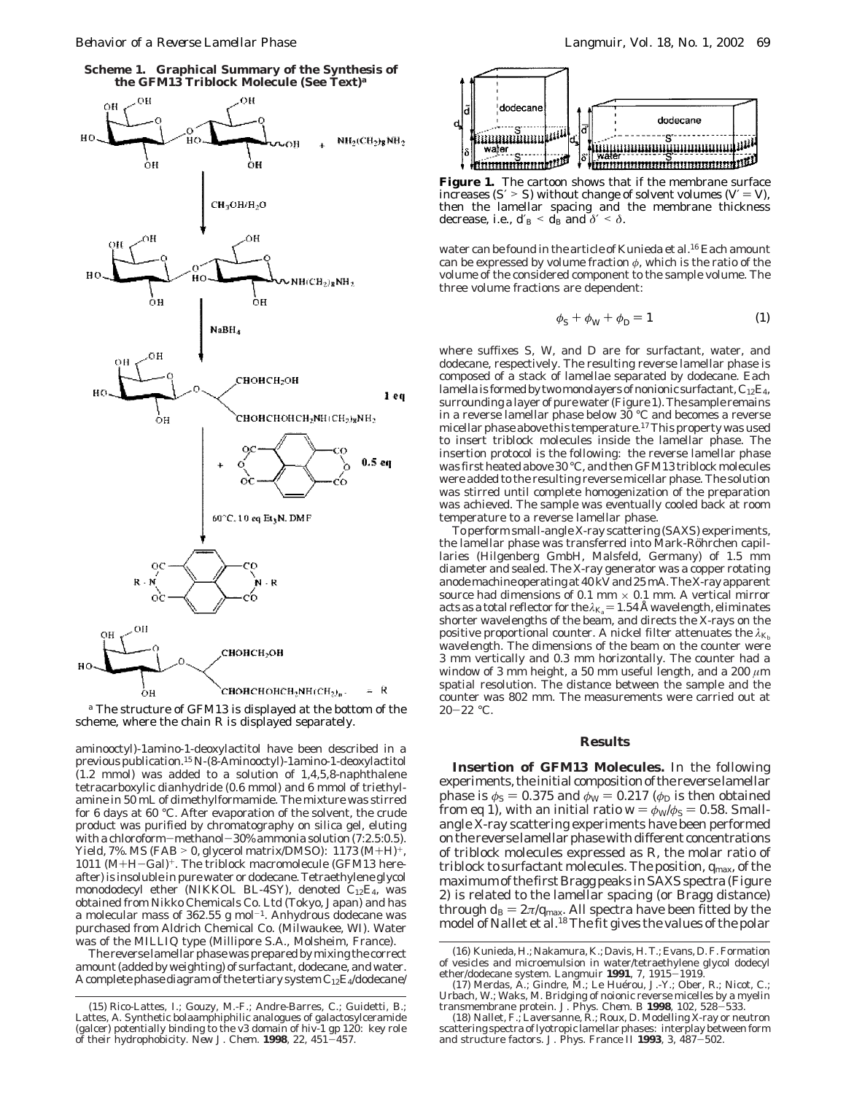**Scheme 1. Graphical Summary of the Synthesis of the GFM13 Triblock Molecule (See Text)***<sup>a</sup>*



*<sup>a</sup>* The structure of GFM13 is displayed at the bottom of the scheme, where the chain R is displayed separately.

aminooctyl)-1amino-1-deoxylactitol have been described in a previous publication.15 *N*-(8-Aminooctyl)-1amino-1-deoxylactitol (1.2 mmol) was added to a solution of 1,4,5,8-naphthalene tetracarboxylic dianhydride (0.6 mmol) and 6 mmol of triethylamine in 50 mL of dimethylformamide. The mixture was stirred for 6 days at 60 °C. After evaporation of the solvent, the crude product was purified by chromatography on silica gel, eluting with a chloroform—methanol—30% ammonia solution  $(7:2.5:0.5)$ . Yield, 7%. MS (FAB > 0, glycerol matrix/DMSO):  $1173 \, (M+H)^+$ , 1011 (M+H-Gal)+. The triblock macromolecule (GFM13 hereafter) is insoluble in pure water or dodecane. Tetraethylene glycol monododecyl ether (NIKKOL BL-4SY), denoted C12E4, was obtained from Nikko Chemicals Co. Ltd (Tokyo, Japan) and has a molecular mass of 362.55 g mol<sup>-1</sup>. Anhydrous dodecane was purchased from Aldrich Chemical Co. (Milwaukee, WI). Water was of the MILLIQ type (Millipore S.A., Molsheim, France).

The reverse lamellar phase was prepared by mixing the correct amount (added by weighting) of surfactant, dodecane, and water. A complete phase diagram of the tertiary system  $C_{12}E_4$ /dodecane/



**Figure 1.** The cartoon shows that if the membrane surface increases (*S* > *S*) without change of solvent volumes ( $V = V$ ), then the lamellar spacing and the membrane thickness decrease, i.e.,  $d_B < d_B$  and  $\delta' < \delta$ .

water can be found in the article of Kunieda et al.16 Each amount can be expressed by volume fraction *φ*, which is the ratio of the volume of the considered component to the sample volume. The three volume fractions are dependent:

$$
\phi_{\rm S} + \phi_{\rm W} + \phi_{\rm D} = 1 \tag{1}
$$

where suffixes S, W, and D are for surfactant, water, and dodecane, respectively. The resulting reverse lamellar phase is composed of a stack of lamellae separated by dodecane. Each lamella is formed by two monolayers of nonionic surfactant,  $C_{12}E_4$ , surrounding a layer of pure water (Figure 1). The sample remains in a reverse lamellar phase below 30 °C and becomes a reverse micellar phase above this temperature.17This property was used to insert triblock molecules inside the lamellar phase. The insertion protocol is the following: the reverse lamellar phase was first heated above 30 °C, and then GFM13 triblock molecules were added to the resulting reverse micellar phase. The solution was stirred until complete homogenization of the preparation was achieved. The sample was eventually cooled back at room temperature to a reverse lamellar phase.

To perform small-angle X-ray scattering (SAXS) experiments, the lamellar phase was transferred into Mark-Röhrchen capillaries (Hilgenberg GmbH, Malsfeld, Germany) of 1.5 mm diameter and sealed. The X-ray generator was a copper rotating anode machine operating at 40 kV and 25 mA. The X-ray apparent source had dimensions of 0.1 mm  $\times$  0.1 mm. A vertical mirror acts as a total reflector for the  $\lambda_{\text{K}_a} = 1.54$  Å wavelength, eliminates shorter wavelengths of the beam, and directs the X-rays on the positive proportional counter. A nickel filter attenuates the  $\lambda_{K_b}$ wavelength. The dimensions of the beam on the counter were 3 mm vertically and 0.3 mm horizontally. The counter had a window of 3 mm height, a 50 mm useful length, and a 200 *µ*m spatial resolution. The distance between the sample and the counter was 802 mm. The measurements were carried out at  $20 - 22$  °C.

### **Results**

**Insertion of GFM13 Molecules.** In the following experiments, the initial composition of the reverse lamellar phase is  $\phi_{\rm S} = 0.375$  and  $\phi_{\rm W} = 0.217$  ( $\phi_{\rm D}$  is then obtained from eq 1), with an initial ratio  $w = \phi_w/\phi_s = 0.58$ . Smallangle X-ray scattering experiments have been performed on the reverse lamellar phase with different concentrations of triblock molecules expressed as *R*, the molar ratio of triblock to surfactant molecules. The position, *q*max, of the maximum of the first Bragg peaks in SAXS spectra (Figure 2) is related to the lamellar spacing (or Bragg distance) through  $d_{\rm B} = 2\pi/q_{\rm max}$ . All spectra have been fitted by the model of Nallet et al.<sup>18</sup> The fit gives the values of the polar

<sup>(15)</sup> Rico-Lattes, I.; Gouzy, M.-F.; Andre-Barres, C.; Guidetti, B.; Lattes, A. Synthetic bolaamphiphilic analogues of galactosylceramide (galcer) potentially binding to the v3 domain of hiv-1 gp 120: key role of their hydrophobicity. *New J. Chem.* **<sup>1998</sup>**, *<sup>22</sup>*, 451-457.

<sup>(16)</sup> Kunieda, H.; Nakamura, K.; Davis, H. T.; Evans, D. F. Formation of vesicles and microemulsion in water/tetraethylene glycol dodecyl ether/dodecane system. *Langmuir* **<sup>1991</sup>**, *<sup>7</sup>*, 1915-1919.

<sup>(17)</sup> Merdas, A.; Gindre, M.; Le Huérou, J.-Y.; Ober, R.; Nicot, C.; Urbach, W.; Waks, M. Bridging of noionic reverse micelles by a myelin transmembrane protein. *J. Phys. Chem. B* **<sup>1998</sup>**, *<sup>102</sup>*, 528-533.

<sup>(18)</sup> Nallet, F.; Laversanne, R.; Roux, D. Modelling X-ray or neutron scattering spectra of lyotropic lamellar phases: interplay between form and structure factors. *J. Phys. France II* **<sup>1993</sup>**, *<sup>3</sup>*, 487-502.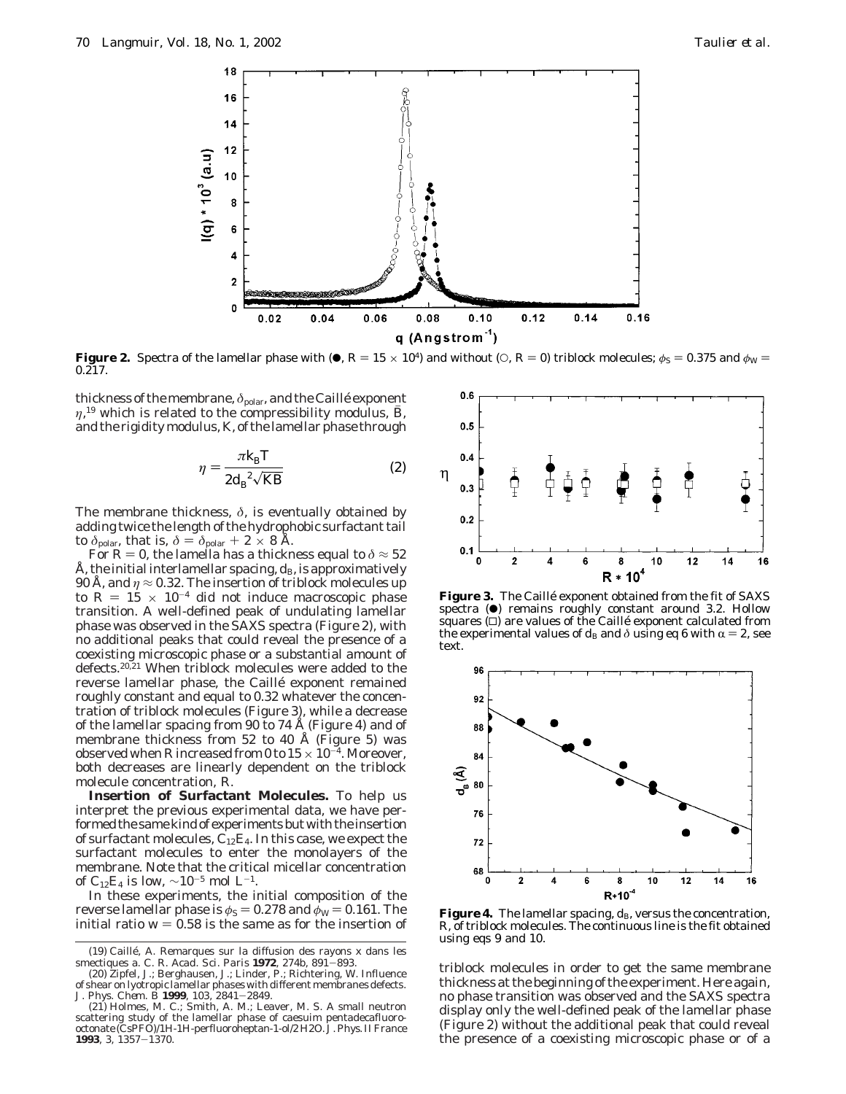

**Figure 2.** Spectra of the lamellar phase with ( $\bullet$ ,  $R = 15 \times 10^4$ ) and without ( $\circ$ ,  $R = 0$ ) triblock molecules;  $\phi$ <sub>S</sub> = 0.375 and  $\phi$ <sub>W</sub> =  $0.\overline{217}$ .

thickness of the membrane,  $\delta_{\text{polar}}$ , and the Caillé exponent *η*,<sup>19</sup> which is related to the compressibility modulus, *B*, and the rigidity modulus *K* of the lamellar phase through and the rigidity modulus, *K*, of the lamellar phase through

$$
\eta = \frac{\pi k_{\rm B} T}{2 d_{\rm B}^2 \sqrt{KB}}\tag{2}
$$

The membrane thickness, *δ*, is eventually obtained by adding twice the length of the hydrophobic surfactant tail to  $\delta_{\text{polar}}$ , that is,  $\delta = \delta_{\text{polar}} + 2 \times 8$  Å.

For  $R = 0$ , the lamella has a thickness equal to  $\delta \approx 52$ Å, the initial interlamellar spacing,  $d_{\rm B}$ , is approximatively 90 Å, and  $\eta \approx 0.32$ . The insertion of triblock molecules up to  $R = 15 \times 10^{-4}$  did not induce macroscopic phase transition. A well-defined peak of undulating lamellar phase was observed in the SAXS spectra (Figure 2), with no additional peaks that could reveal the presence of a coexisting microscopic phase or a substantial amount of defects.<sup>20,21</sup> When triblock molecules were added to the reverse lamellar phase, the Caillé exponent remained roughly constant and equal to 0.32 whatever the concentration of triblock molecules (Figure 3), while a decrease of the lamellar spacing from 90 to 74 Å (Figure 4) and of membrane thickness from 52 to 40 Å (Figure 5) was observed when *R* increased from 0 to  $15 \times 10^{-4}$ . Moreover, both decreases are linearly dependent on the triblock molecule concentration, *R*.

**Insertion of Surfactant Molecules.** To help us interpret the previous experimental data, we have performed the same kind of experiments but with the insertion of surfactant molecules,  $C_{12}E_4$ . In this case, we expect the surfactant molecules to enter the monolayers of the membrane. Note that the critical micellar concentration of C<sub>12</sub>E<sub>4</sub> is low,  $\sim$ 10<sup>-5</sup> mol L<sup>-1</sup>.

In these experiments, the initial composition of the reverse lamellar phase is  $\phi_{\rm S} = 0.278$  and  $\phi_{\rm W} = 0.161$ . The initial ratio  $w = 0.58$  is the same as for the insertion of



of shear on lyotropic lamellar phases with different membranes defects. *J. Phys. Chem. B* **<sup>1999</sup>**, *<sup>103</sup>*, 2841-2849.



Figure 3. The Caillé exponent obtained from the fit of SAXS spectra  $\left( \bullet \right)$  remains roughly constant around 3.2. Hollow squares  $(\square)$  are values of the Caillé exponent calculated from the experimental values of  $d_B$  and  $\delta$  using eq 6 with  $\alpha = 2$ , see text.



**Figure 4.** The lamellar spacing,  $d_{\text{B}}$ , versus the concentration, *R*, of triblock molecules. The continuous line is the fit obtained using eqs 9 and 10.

triblock molecules in order to get the same membrane thickness at the beginning of the experiment. Here again, no phase transition was observed and the SAXS spectra display only the well-defined peak of the lamellar phase (Figure 2) without the additional peak that could reveal the presence of a coexisting microscopic phase or of a

<sup>(21)</sup> Holmes, M. C.; Smith, A. M.; Leaver, M. S. A small neutron scattering study of the lamellar phase of caesuim pentadecafluorooctonate (CsPFO)/1H-1H-perfluoroheptan-1-ol/2 H2O. *J. Phys. II France* **<sup>1993</sup>**, *<sup>3</sup>*, 1357-1370.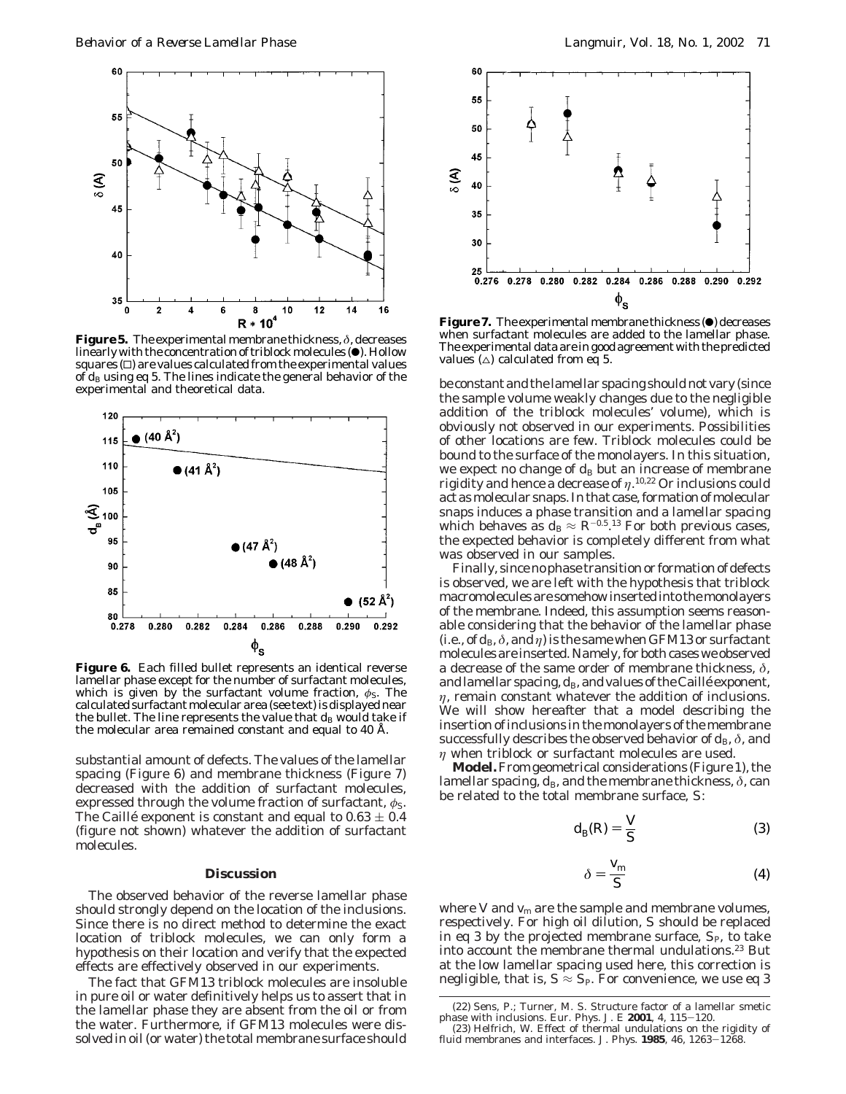

**Figure 5.** The experimental membrane thickness, *δ*, decreases linearly with the concentration of triblock molecules  $(\bullet)$ . Hollow  $squares$  ( $\square$ ) are values calculated from the experimental values of  $d_{\text{B}}$  using eq 5. The lines indicate the general behavior of the experimental and theoretical data.



**Figure 6.** Each filled bullet represents an identical reverse lamellar phase except for the number of surfactant molecules, which is given by the surfactant volume fraction,  $\phi$ <sub>S</sub>. The calculated surfactant molecular area (see text) is displayed near the bullet. The line represents the value that  $d_{\text{B}}$  would take if the molecular area remained constant and equal to 40 Å.

substantial amount of defects. The values of the lamellar spacing (Figure 6) and membrane thickness (Figure 7) decreased with the addition of surfactant molecules, expressed through the volume fraction of surfactant,  $\phi_{\rm S}$ . The Caillé exponent is constant and equal to  $0.63 \pm 0.4$ (figure not shown) whatever the addition of surfactant molecules.

#### **Discussion**

The observed behavior of the reverse lamellar phase should strongly depend on the location of the inclusions. Since there is no direct method to determine the exact location of triblock molecules, we can only form a hypothesis on their location and verify that the expected effects are effectively observed in our experiments.

The fact that GFM13 triblock molecules are insoluble in pure oil or water definitively helps us to assert that in the lamellar phase they are absent from the oil or from the water. Furthermore, if GFM13 molecules were dissolved in oil (or water) the total membrane surface should



**Figure 7.** The experimental membrane thickness ( $\bullet$ ) decreases when surfactant molecules are added to the lamellar phase. The experimental data are in good agreement with the predicted values  $(\triangle)$  calculated from eq 5.

be constant and the lamellar spacing should not vary (since the sample volume weakly changes due to the negligible addition of the triblock molecules' volume), which is obviously not observed in our experiments. Possibilities of other locations are few. Triblock molecules could be bound to the surface of the monolayers. In this situation, we expect no change of  $d_B$  but an increase of membrane rigidity and hence a decrease of *η*. 10,22 Or inclusions could act as molecular snaps. In that case, formation of molecular snaps induces a phase transition and a lamellar spacing which behaves as  $d_{\rm B} \approx R^{-0.5}$ .<sup>13</sup> For both previous cases, the expected behavior is completely different from what was observed in our samples.

Finally, since no phase transition or formation of defects is observed, we are left with the hypothesis that triblock macromolecules are somehow inserted into the monolayers of the membrane. Indeed, this assumption seems reasonable considering that the behavior of the lamellar phase (i.e., of  $d_{\text{B}}$ ,  $\delta$ , and  $\eta$ ) is the same when GFM13 or surfactant molecules are inserted. Namely, for both cases we observed a decrease of the same order of membrane thickness, *δ*, and lamellar spacing,  $d_B$ , and values of the Caillé exponent, *η*, remain constant whatever the addition of inclusions. We will show hereafter that a model describing the insertion of inclusions in the monolayers of the membrane successfully describes the observed behavior of  $d_{\text{B}}$ ,  $\delta$ , and *η* when triblock or surfactant molecules are used.

**Model.**From geometrical considerations (Figure 1), the lamellar spacing,  $d_B$ , and the membrane thickness,  $\delta$ , can be related to the total membrane surface, *S*:

$$
d_{\mathcal{B}}(R) = \frac{V}{S} \tag{3}
$$

$$
\delta = \frac{V_{\rm m}}{S} \tag{4}
$$

where *V* and  $v_m$  are the sample and membrane volumes, respectively. For high oil dilution, *S* should be replaced in eq 3 by the projected membrane surface,  $S_{P}$ , to take into account the membrane thermal undulations.<sup>23</sup> But at the low lamellar spacing used here, this correction is negligible, that is,  $S \approx S_{P}$ . For convenience, we use eq 3

<sup>(22)</sup> Sens, P.; Turner, M. S. Structure factor of a lamellar smetic phase with inclusions. *Eur. Phys. J. E* **<sup>2001</sup>**, *<sup>4</sup>*, 115-120.

<sup>(23)</sup> Helfrich, W. Effect of thermal undulations on the rigidity of fluid membranes and interfaces. *J. Phys.* **<sup>1985</sup>***, 46*, 1263-1268.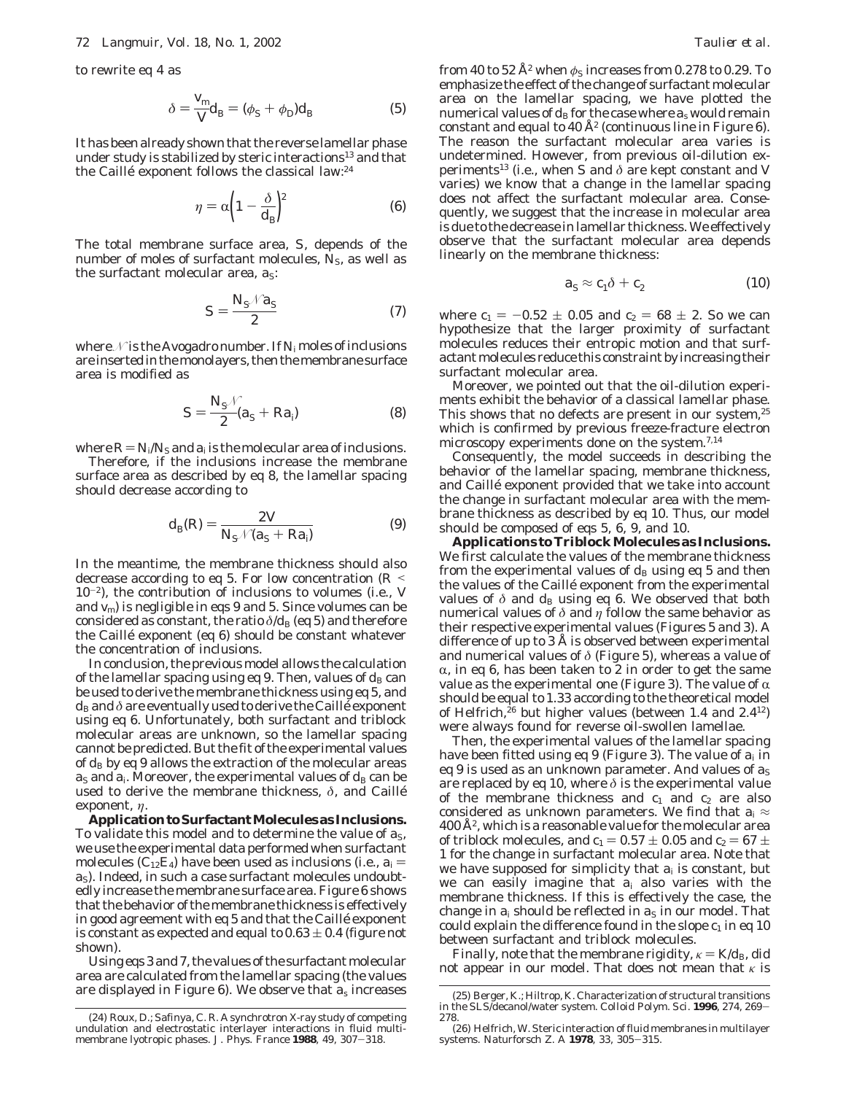to rewrite eq 4 as

$$
\delta = \frac{V_{\rm m}}{V} d_{\rm B} = (\phi_{\rm S} + \phi_{\rm D}) d_{\rm B} \tag{5}
$$

It has been already shown that the reverse lamellar phase under study is stabilized by steric interactions<sup>13</sup> and that the Caillé exponent follows the classical law:<sup>24</sup>

$$
\eta = \alpha \left( 1 - \frac{\delta}{d_{\rm B}} \right)^2 \tag{6}
$$

The total membrane surface area, *S*, depends of the number of moles of surfactant molecules, N<sub>S</sub>, as well as the surfactant molecular area,  $a_S$ :

$$
S = \frac{N_{\rm S} \sqrt{a_{\rm S}}}{2} \tag{7}
$$

where *N* is the Avogadro number. If *N*<sup>i</sup> moles of inclusions are inserted in the monolayers, then the membrane surface area is modified as

$$
S = \frac{N_{\rm S} \mathcal{N}}{2} (a_{\rm S} + Ra_{\rm i}) \tag{8}
$$

where  $R = N_i/N_s$  and  $a_i$  is the molecular area of inclusions.

Therefore, if the inclusions increase the membrane surface area as described by eq 8, the lamellar spacing should decrease according to

$$
d_{\mathcal{B}}(R) = \frac{2 V}{N_{\mathcal{S}} \mathcal{N}(a_{\mathcal{S}} + Ra_{\mathcal{I}})}
$$
(9)

In the meantime, the membrane thickness should also decrease according to eq 5. For low concentration (*<sup>R</sup>* < 10-2), the contribution of inclusions to volumes (i.e., *V* and *v*m) is negligible in eqs 9 and 5. Since volumes can be considered as constant, the ratio  $\delta/d_B$  (eq 5) and therefore the Caillé exponent (eq 6) should be constant whatever the concentration of inclusions.

In conclusion, the previous model allows the calculation of the lamellar spacing using eq 9. Then, values of  $d_B$  can be used to derive the membrane thickness using eq 5, and  $d_B$  and  $\delta$  are eventually used to derive the Caillé exponent using eq 6. Unfortunately, both surfactant and triblock molecular areas are unknown, so the lamellar spacing cannot be predicted. But the fit of the experimental values of  $d_B$  by eq 9 allows the extraction of the molecular areas  $a_S$  and  $a_i$ . Moreover, the experimental values of  $d_B$  can be used to derive the membrane thickness, *δ*, and Caille´ exponent, *η*.

**ApplicationtoSurfactantMoleculesasInclusions.** To validate this model and to determine the value of  $a_S$ , we use the experimental data performed when surfactant molecules ( $C_{12}E_4$ ) have been used as inclusions (i.e.,  $a_i =$ *a*S). Indeed, in such a case surfactant molecules undoubtedly increase the membrane surface area. Figure 6 shows that the behavior of the membrane thickness is effectively in good agreement with eq 5 and that the Caillé exponent is constant as expected and equal to  $0.63 \pm 0.4$  (figure not shown).

Using eqs 3 and 7, the values of the surfactant molecular area are calculated from the lamellar spacing (the values are displayed in Figure 6). We observe that *a*<sup>s</sup> increases from 40 to 52 Å<sup>2</sup> when  $\phi$ <sub>S</sub> increases from 0.278 to 0.29. To emphasize the effect of the change of surfactant molecular area on the lamellar spacing, we have plotted the numerical values of  $d_B$  for the case where  $a_s$  would remain constant and equal to  $40 \text{ Å}^2$  (continuous line in Figure 6). The reason the surfactant molecular area varies is undetermined. However, from previous oil-dilution experiments<sup>13</sup> (i.e., when *S* and  $\delta$  are kept constant and *V* varies) we know that a change in the lamellar spacing does not affect the surfactant molecular area. Consequently, we suggest that the increase in molecular area is due to the decrease in lamellar thickness. We effectively observe that the surfactant molecular area depends linearly on the membrane thickness:

$$
a_{\rm S} \approx c_1 \delta + c_2 \tag{10}
$$

where  $c_1 = -0.52 \pm 0.05$  and  $c_2 = 68 \pm 2$ . So we can hypothesize that the larger proximity of surfactant molecules reduces their entropic motion and that surfactant molecules reduce this constraint by increasing their surfactant molecular area.

Moreover, we pointed out that the oil-dilution experiments exhibit the behavior of a classical lamellar phase. This shows that no defects are present in our system,<sup>25</sup> which is confirmed by previous freeze-fracture electron microscopy experiments done on the system.7,14

Consequently, the model succeeds in describing the behavior of the lamellar spacing, membrane thickness, and Caillé exponent provided that we take into account the change in surfactant molecular area with the membrane thickness as described by eq 10. Thus, our model should be composed of eqs 5, 6, 9, and 10.

**Applications to Triblock Molecules as Inclusions.** We first calculate the values of the membrane thickness from the experimental values of  $d_{\rm B}$  using eq 5 and then the values of the Caillé exponent from the experimental values of  $\delta$  and  $d_B$  using eq 6. We observed that both numerical values of *δ* and *η* follow the same behavior as their respective experimental values (Figures 5 and 3). A difference of up to 3 Å is observed between experimental and numerical values of *δ* (Figure 5), whereas a value of  $\alpha$ , in eq 6, has been taken to 2 in order to get the same value as the experimental one (Figure 3). The value of  $\alpha$ should be equal to 1.33 according to the theoretical model of Helfrich, ${}^{26}$  but higher values (between 1.4 and 2.4<sup>12</sup>) were always found for reverse oil-swollen lamellae.

Then, the experimental values of the lamellar spacing have been fitted using eq 9 (Figure 3). The value of *a*<sup>i</sup> in eq 9 is used as an unknown parameter. And values of  $a<sub>S</sub>$ are replaced by eq 10, where *δ* is the experimental value of the membrane thickness and  $c_1$  and  $c_2$  are also considered as unknown parameters. We find that  $a_i \approx$  $400 \mathrm{\AA}^2$ , which is a reasonable value for the molecular area of triblock molecules, and  $c_1 = 0.57 \pm 0.05$  and  $c_2 = 67 \pm 0.05$ 1 for the change in surfactant molecular area. Note that we have supposed for simplicity that *a*<sup>i</sup> is constant, but we can easily imagine that *a*<sup>i</sup> also varies with the membrane thickness. If this is effectively the case, the change in  $a_i$  should be reflected in  $a_S$  in our model. That could explain the difference found in the slope  $c_1$  in eq 10 between surfactant and triblock molecules.

Finally, note that the membrane rigidity,  $\kappa = K/d_B$ , did not appear in our model. That does not mean that *κ* is

<sup>(24)</sup> Roux, D.; Safinya, C. R. A synchrotron X-ray study of competing undulation and electrostatic interlayer interactions in fluid multi-membrane lyotropic phases. *J. Phys. France* **<sup>1988</sup>**, *<sup>49</sup>*, 307-318.

<sup>(25)</sup> Berger, K.; Hiltrop, K. Characterization of structural transitions in the SLS/decanol/water system. *Colloid Polym. Sci.* **<sup>1996</sup>***, 274*, 269- 278.

<sup>(26)</sup> Helfrich, W. Steric interaction of fluid membranes in multilayer systems. *Naturforsch Z. A* **<sup>1978</sup>**, *<sup>33</sup>*, 305-315.